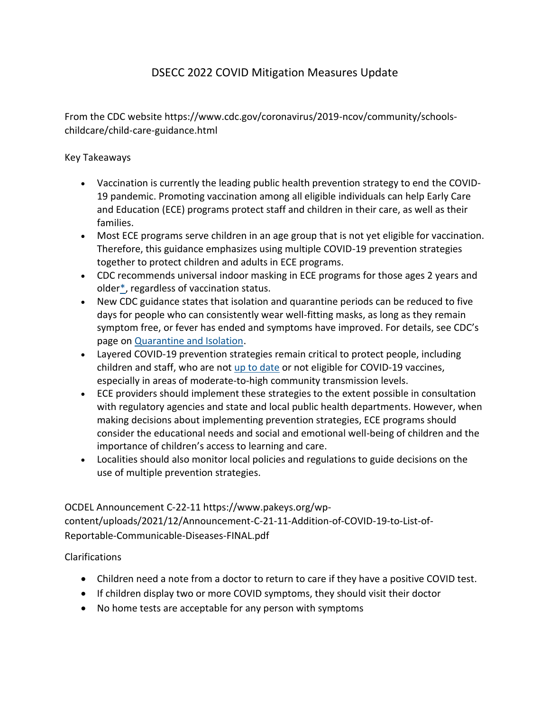## DSECC 2022 COVID Mitigation Measures Update

From the CDC website https://www.cdc.gov/coronavirus/2019-ncov/community/schoolschildcare/child-care-guidance.html

## Key Takeaways

- Vaccination is currently the leading public health prevention strategy to end the COVID-19 pandemic. Promoting vaccination among all eligible individuals can help Early Care and Education (ECE) programs protect staff and children in their care, as well as their families.
- Most ECE programs serve children in an age group that is not yet eligible for vaccination. Therefore, this guidance emphasizes using multiple COVID-19 prevention strategies together to protect children and adults in ECE programs.
- CDC recommends universal indoor masking in ECE programs for those ages 2 years and olde[r\\*,](https://www.cdc.gov/coronavirus/2019-ncov/community/schools-childcare/child-care-guidance.html#masking) regardless of vaccination status.
- New CDC guidance states that isolation and quarantine periods can be reduced to five days for people who can consistently wear well-fitting masks, as long as they remain symptom free, or fever has ended and symptoms have improved. For details, see CDC's page on [Quarantine and Isolation.](https://www.cdc.gov/coronavirus/2019-ncov/your-health/quarantine-isolation.html)
- Layered COVID-19 prevention strategies remain critical to protect people, including children and staff, who are not [up to date](https://www.cdc.gov/coronavirus/2019-ncov/vaccines/stay-up-to-date.html) or not eligible for COVID-19 vaccines, especially in areas of moderate-to-high community transmission levels.
- ECE providers should implement these strategies to the extent possible in consultation with regulatory agencies and state and local public health departments. However, when making decisions about implementing prevention strategies, ECE programs should consider the educational needs and social and emotional well-being of children and the importance of children's access to learning and care.
- Localities should also monitor local policies and regulations to guide decisions on the use of multiple prevention strategies.

OCDEL Announcement C-22-11 https://www.pakeys.org/wpcontent/uploads/2021/12/Announcement-C-21-11-Addition-of-COVID-19-to-List-of-Reportable-Communicable-Diseases-FINAL.pdf

Clarifications

- Children need a note from a doctor to return to care if they have a positive COVID test.
- If children display two or more COVID symptoms, they should visit their doctor
- No home tests are acceptable for any person with symptoms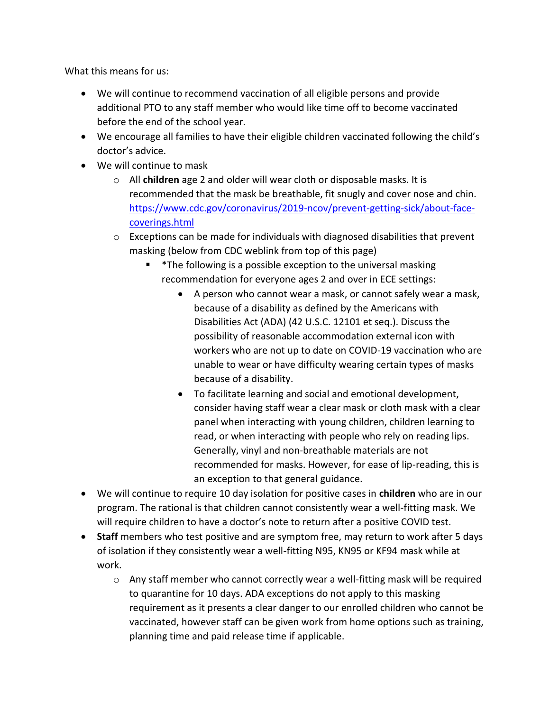What this means for us:

- We will continue to recommend vaccination of all eligible persons and provide additional PTO to any staff member who would like time off to become vaccinated before the end of the school year.
- We encourage all families to have their eligible children vaccinated following the child's doctor's advice.
- We will continue to mask
	- o All **children** age 2 and older will wear cloth or disposable masks. It is recommended that the mask be breathable, fit snugly and cover nose and chin. [https://www.cdc.gov/coronavirus/2019-ncov/prevent-getting-sick/about-face](https://www.cdc.gov/coronavirus/2019-ncov/prevent-getting-sick/about-face-coverings.html)[coverings.html](https://www.cdc.gov/coronavirus/2019-ncov/prevent-getting-sick/about-face-coverings.html)
	- o Exceptions can be made for individuals with diagnosed disabilities that prevent masking (below from CDC weblink from top of this page)
		- \*The following is a possible exception to the universal masking recommendation for everyone ages 2 and over in ECE settings:
			- A person who cannot wear a mask, or cannot safely wear a mask, because of a disability as defined by the Americans with Disabilities Act (ADA) (42 U.S.C. 12101 et seq.). Discuss the possibility of reasonable accommodation external icon with workers who are not up to date on COVID-19 vaccination who are unable to wear or have difficulty wearing certain types of masks because of a disability.
			- To facilitate learning and social and emotional development, consider having staff wear a clear mask or cloth mask with a clear panel when interacting with young children, children learning to read, or when interacting with people who rely on reading lips. Generally, vinyl and non-breathable materials are not recommended for masks. However, for ease of lip-reading, this is an exception to that general guidance.
- We will continue to require 10 day isolation for positive cases in **children** who are in our program. The rational is that children cannot consistently wear a well-fitting mask. We will require children to have a doctor's note to return after a positive COVID test.
- **Staff** members who test positive and are symptom free, may return to work after 5 days of isolation if they consistently wear a well-fitting N95, KN95 or KF94 mask while at work.
	- $\circ$  Any staff member who cannot correctly wear a well-fitting mask will be required to quarantine for 10 days. ADA exceptions do not apply to this masking requirement as it presents a clear danger to our enrolled children who cannot be vaccinated, however staff can be given work from home options such as training, planning time and paid release time if applicable.